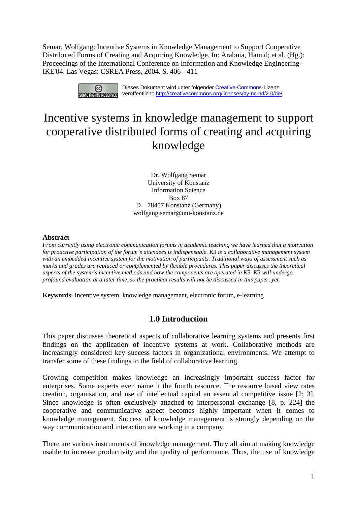Semar, Wolfgang: Incentive Systems in Knowledge Management to Support Cooperative Distributed Forms of Creating and Acquiring Knowledge. In: Arabnia, Hamid; et al. (Hg.): Proceedings of the International Conference on Information and Knowledge Engineering - IKE'04. Las Vegas: CSREA Press, 2004. S. 406 - 411



# Incentive systems in knowledge management to support cooperative distributed forms of creating and acquiring knowledge

Dr. Wolfgang Semar University of Konstanz Information Science Box 87 D – 78457 Konstanz (Germany) wolfgang.semar@uni-konstanz.de

#### **Abstract**

*From currently using electronic communication forums in academic teaching we have learned that a motivation for proactive participation of the forum's attendees is indispensable. K3 is a collaborative management system with an embedded incentive system for the motivation of participants. Traditional ways of assessment such as marks and grades are replaced or complemented by flexible procedures. This paper discusses the theoretical aspects of the system's incentive methods and how the components are operated in K3. K3 will undergo profound evaluation at a later time, so the practical results will not be discussed in this paper, yet.* 

**Keywords**: Incentive system, knowledge management, electronic forum, e-learning

## **1.0 Introduction**

This paper discusses theoretical aspects of collaborative learning systems and presents first findings on the application of incentive systems at work. Collaborative methods are increasingly considered key success factors in organizational environments. We attempt to transfer some of these findings to the field of collaborative learning.

Growing competition makes knowledge an increasingly important success factor for enterprises. Some experts even name it the fourth resource. The resource based view rates creation, organisation, and use of intellectual capital an essential competitive issue [2; 3]. Since knowledge is often exclusively attached to interpersonal exchange [8, p. 224] the cooperative and communicative aspect becomes highly important when it comes to knowledge management. Success of knowledge management is strongly depending on the way communication and interaction are working in a company.

There are various instruments of knowledge management. They all aim at making knowledge usable to increase productivity and the quality of performance. Thus, the use of knowledge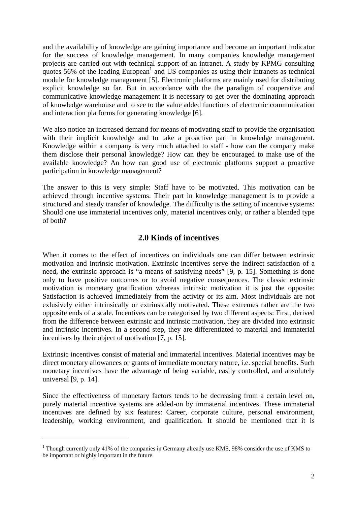and the availability of knowledge are gaining importance and become an important indicator for the success of knowledge management. In many companies knowledge management projects are carried out with technical support of an intranet. A study by KPMG consulting quotes 56% of the leading  $\text{European}^1$  $\text{European}^1$  and US companies as using their intranets as technical module for knowledge management [5]. Electronic platforms are mainly used for distributing explicit knowledge so far. But in accordance with the the paradigm of cooperative and communicative knowledge management it is necessary to get over the dominating approach of knowledge warehouse and to see to the value added functions of electronic communication and interaction platforms for generating knowledge [6].

We also notice an increased demand for means of motivating staff to provide the organisation with their implicit knowledge and to take a proactive part in knowledge management. Knowledge within a company is very much attached to staff - how can the company make them disclose their personal knowledge? How can they be encouraged to make use of the available knowledge? An how can good use of electronic platforms support a proactive participation in knowledge management?

The answer to this is very simple: Staff have to be motivated. This motivation can be achieved through incentive systems. Their part in knowledge management is to provide a structured and steady transfer of knowledge. The difficulty is the setting of incentive systems: Should one use immaterial incentives only, material incentives only, or rather a blended type of both?

# **2.0 Kinds of incentives**

When it comes to the effect of incentives on individuals one can differ between extrinsic motivation and intrinsic motivation. Extrinsic incentives serve the indirect satisfaction of a need, the extrinsic approach is "a means of satisfying needs" [9, p. 15]. Something is done only to have positive outcomes or to avoid negative consequences. The classic extrinsic motivation is monetary gratification whereas intrinsic motivation it is just the opposite: Satisfaction is achieved immediately from the activity or its aim. Most individuals are not exlusively either intrinsically or extrinsically motivated. These extremes rather are the two opposite ends of a scale. Incentives can be categorised by two different aspects: First, derived from the difference between extrinsic and intrinsic motivation, they are divided into extrinsic and intrinsic incentives. In a second step, they are differentiated to material and immaterial incentives by their object of motivation [7, p. 15].

Extrinsic incentives consist of material and immaterial incentives. Material incentives may be direct monetary allowances or grants of immediate monetary nature, i.e. special benefits. Such monetary incentives have the advantage of being variable, easily controlled, and absolutely universal [9, p. 14].

Since the effectiveness of monetary factors tends to be decreasing from a certain level on, purely material incentive systems are added-on by immaterial incentives. These immaterial incentives are defined by six features: Career, corporate culture, personal environment, leadership, working environment, and qualification. It should be mentioned that it is

 $\overline{a}$ 

<span id="page-1-0"></span><sup>&</sup>lt;sup>1</sup> Though currently only 41% of the companies in Germany already use KMS, 98% consider the use of KMS to be important or highly important in the future.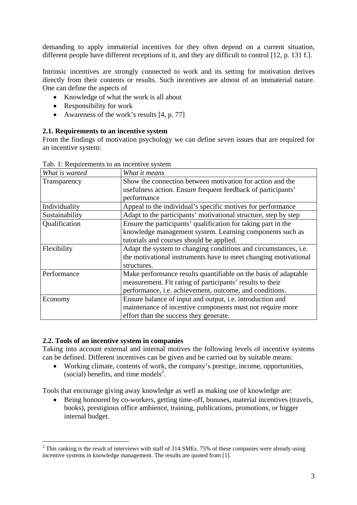demanding to apply immaterial incentives for they often depend on a current situation, different people have different receptions of it, and they are difficult to control [12, p. 131 f.].

Intrinsic incentives are strongly connected to work and its setting for motivation derives directly from their contents or results. Such incentives are almost of an immaterial nature. One can define the aspects of

- Knowledge of what the work is all about
- Responsibility for work
- Awareness of the work's results [4, p. 77]

#### **2.1. Requirements to an incentive system**

From the findings of motivation psychology we can define seven issues that are required for an incentive system:

| What is wanted | What it means                                                   |
|----------------|-----------------------------------------------------------------|
| Transparency   | Show the connection between motivation for action and the       |
|                | usefulness action. Ensure frequent feedback of participants'    |
|                | performance                                                     |
| Individuality  | Appeal to the individual's specific motives for performance     |
| Sustainability | Adapt to the participants' motivational structure, step by step |
| Qualification  | Ensure the participants' qualification for taking part in the   |
|                | knowledge management system. Learning components such as        |
|                | tutorials and courses should be applied.                        |
| Flexibility    | Adapt the system to changing conditions and circumstances, i.e. |
|                | the motivational instruments have to meet changing motivational |
|                | structures.                                                     |
| Performance    | Make performance results quantifiable on the basis of adaptable |
|                | measurement. Fit rating of participants' results to their       |
|                | performance, i.e. achievement, outcome, and conditions.         |
| Economy        | Ensure balance of input and output, i.e. introduction and       |
|                | maintenance of incentive components must not require more       |
|                | effort than the success they generate.                          |

Tab. 1: Requirements to an incentive system

## **2.2. Tools of an incentive system in companies**

 $\overline{a}$ 

Taking into account external and internal motives the following levels of incentive systems can be defined. Different incentives can be given and be carried out by suitable means:

• Working climate, contents of work, the company's prestige, income, opportunities, (social) benefits, and time models<sup>2</sup>.

Tools that encourage giving away knowledge as well as making use of knowledge are:

• Being honoured by co-workers, getting time-off, bonuses, material incentives (travels, books), prestigious office ambience, training, publications, promotions, or bigger internal budget.

<span id="page-2-0"></span> $2$  This ranking is the result of interviews with staff of 314 SMEs. 75% of these companies were already using incentive systems in knowledge management. The results are quoted from [1].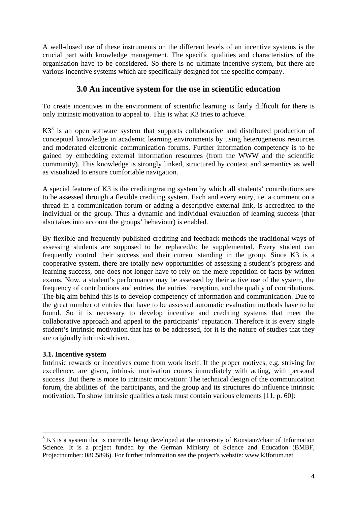A well-dosed use of these instruments on the different levels of an incentive systems is the crucial part with knowledge management. The specific qualities and characteristics of the organisation have to be considered. So there is no ultimate incentive system, but there are various incentive systems which are specifically designed for the specific company.

# **3.0 An incentive system for the use in scientific education**

To create incentives in the environment of scientific learning is fairly difficult for there is only intrinsic motivation to appeal to. This is what K3 tries to achieve.

 $K3<sup>3</sup>$ is an open software system that supports collaborative and distributed production of conceptual knowledge in academic learning environments by using heterogeneous resources and moderated electronic communication forums. Further information competency is to be gained by embedding external information resources (from the WWW and the scientific community). This knowledge is strongly linked, structured by context and semantics as well as visualized to ensure comfortable navigation.

A special feature of K3 is the crediting/rating system by which all students' contributions are to be assessed through a flexible crediting system. Each and every entry, i.e. a comment on a thread in a communication forum or adding a descriptive external link, is accredited to the individual or the group. Thus a dynamic and individual evaluation of learning success (that also takes into account the groups' behaviour) is enabled.

By flexible and frequently published crediting and feedback methods the traditional ways of assessing students are supposed to be replaced/to be supplemented. Every student can frequently control their success and their current standing in the group. Since K3 is a cooperative system, there are totally new opportunities of assessing a student's progress and learning success, one does not longer have to rely on the mere repetition of facts by written exams. Now, a student's performance may be assessed by their active use of the system, the frequency of contributions and entries, the entries' reception, and the quality of contributions. The big aim behind this is to develop competency of information and communication. Due to the great number of entries that have to be assessed automatic evaluation methods have to be found. So it is necessary to develop incentive and crediting systems that meet the collaborative approach and appeal to the participants' reputation. Therefore it is every single student's intrinsic motivation that has to be addressed, for it is the nature of studies that they are originally intrinsic-driven.

## **3.1. Incentive system**

 $\overline{a}$ 

Intrinsic rewards or incentives come from work itself. If the proper motives, e.g. striving for excellence, are given, intrinsic motivation comes immediately with acting, with personal success. But there is more to intrinsic motivation: The technical design of the communication forum, the abilities of the participants, and the group and its structures do influence intrinsic motivation. To show intrinsic qualities a task must contain various elements [11, p. 60]:

<span id="page-3-0"></span> $3 K3$  is a system that is currently being developed at the university of Konstanz/chair of Information Science. It is a project funded by the German Ministry of Science and Education (BMBF, Projectnumber: 08C5896). For further information see the project's website: www.k3forum.net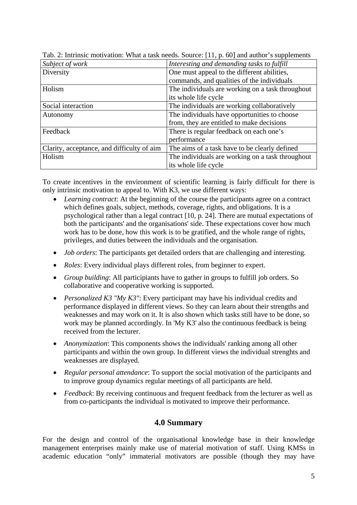| Subject of work                            | Interesting and demanding tasks to fulfill       |
|--------------------------------------------|--------------------------------------------------|
| Diversity                                  | One must appeal to the different abilities,      |
|                                            | commands, and qualities of the individuals       |
| Holism                                     | The individuals are working on a task throughout |
|                                            | its whole life cycle                             |
| Social interaction                         | The individuals are working collaboratively      |
| Autonomy                                   | The individuals have opportunities to choose     |
|                                            | from, they are entitled to make decisions        |
| Feedback                                   | There is regular feedback on each one's          |
|                                            | performance                                      |
| Clarity, acceptance, and difficulty of aim | The aims of a task have to be clearly defined    |
| Holism                                     | The individuals are working on a task throughout |
|                                            | its whole life cycle                             |

Tab. 2: Intrinsic motivation: What a task needs. Source: [11, p. 60] and author's supplements

To create incentives in the environment of scientific learning is fairly difficult for there is only intrinsic motivation to appeal to. With K3, we use different ways:

- *Learning contract*: At the beginning of the course the participants agree on a contract which defines goals, subject, methods, coverage, rights, and obligations. It is a psychological rather than a legal contract [10, p. 24]. There are mutual expectations of both the participants' and the organisations' side. These expectations cover how much work has to be done, how this work is to be gratified, and the whole range of rights, privileges, and duties between the individuals and the organisation.
- *Job orders*: The participants get detailed orders that are challenging and interesting*.*
- *Roles*: Every individual plays different roles, from beginner to expert.
- *Group building*: All participiants have to gather in groups to fulfill job orders. So collaborative and cooperative working is supported.
- *Personalized K3 "My K3"*: Every participant may have his individual credits and performance displayed in different views. So they can learn about their strengths and weaknesses and may work on it. It is also shown which tasks still have to be done, so work may be planned accordingly. In 'My K3' also the continuous feedback is being received from the lecturer.
- *Anonymization*: This components shows the individuals' ranking among all other participants and within the own group. In different views the individual strenghts and weaknesses are displayed.
- *Regular personal attendance*: To support the social motivation of the participants and to improve group dynamics regular meetings of all participants are held.
- *Feedback*: By receiving continuous and frequent feedback from the lecturer as well as from co-participants the individual is motivated to improve their performance.

## **4.0 Summary**

For the design and control of the organisational knowledge base in their knowledge management enterprises mainly make use of material motivation of staff. Using KMSs in academic education "only" immaterial motivators are possible (though they may have